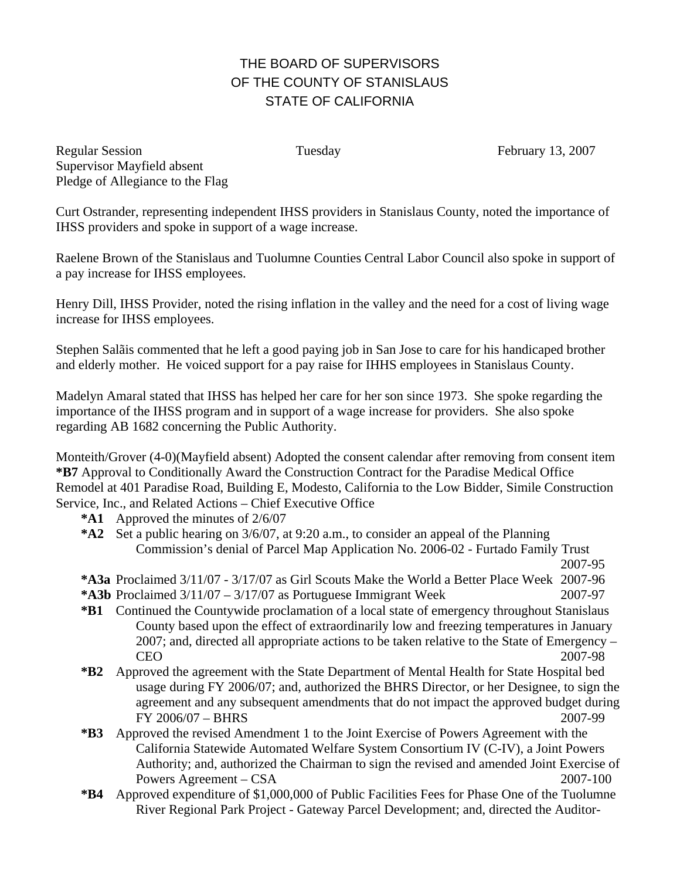## THE BOARD OF SUPERVISORS OF THE COUNTY OF STANISLAUS STATE OF CALIFORNIA

Regular Session Tuesday February 13, 2007 Supervisor Mayfield absent Pledge of Allegiance to the Flag

Curt Ostrander, representing independent IHSS providers in Stanislaus County, noted the importance of IHSS providers and spoke in support of a wage increase.

Raelene Brown of the Stanislaus and Tuolumne Counties Central Labor Council also spoke in support of a pay increase for IHSS employees.

Henry Dill, IHSS Provider, noted the rising inflation in the valley and the need for a cost of living wage increase for IHSS employees.

Stephen Salãis commented that he left a good paying job in San Jose to care for his handicaped brother and elderly mother. He voiced support for a pay raise for IHHS employees in Stanislaus County.

Madelyn Amaral stated that IHSS has helped her care for her son since 1973. She spoke regarding the importance of the IHSS program and in support of a wage increase for providers. She also spoke regarding AB 1682 concerning the Public Authority.

Monteith/Grover (4-0)(Mayfield absent) Adopted the consent calendar after removing from consent item **\*B7** Approval to Conditionally Award the Construction Contract for the Paradise Medical Office Remodel at 401 Paradise Road, Building E, Modesto, California to the Low Bidder, Simile Construction Service, Inc., and Related Actions – Chief Executive Office

- **\*A1** Approved the minutes of 2/6/07
- **\*A2** Set a public hearing on 3/6/07, at 9:20 a.m., to consider an appeal of the Planning Commission's denial of Parcel Map Application No. 2006-02 - Furtado Family Trust 2007-95

- **\*A3a** Proclaimed 3/11/07 3/17/07 as Girl Scouts Make the World a Better Place Week 2007-96
- **\*A3b** Proclaimed  $3/11/07 3/17/07$  as Portuguese Immigrant Week 2007-97
- **\*B1** Continued the Countywide proclamation of a local state of emergency throughout Stanislaus County based upon the effect of extraordinarily low and freezing temperatures in January 2007; and, directed all appropriate actions to be taken relative to the State of Emergency – CEO 2007-98
- **\*B2** Approved the agreement with the State Department of Mental Health for State Hospital bed usage during FY 2006/07; and, authorized the BHRS Director, or her Designee, to sign the agreement and any subsequent amendments that do not impact the approved budget during FY 2006/07 – BHRS 2007-99
- **\*B3** Approved the revised Amendment 1 to the Joint Exercise of Powers Agreement with the California Statewide Automated Welfare System Consortium IV (C-IV), a Joint Powers Authority; and, authorized the Chairman to sign the revised and amended Joint Exercise of Powers Agreement – CSA 2007-100
- **\*B4** Approved expenditure of \$1,000,000 of Public Facilities Fees for Phase One of the Tuolumne River Regional Park Project - Gateway Parcel Development; and, directed the Auditor-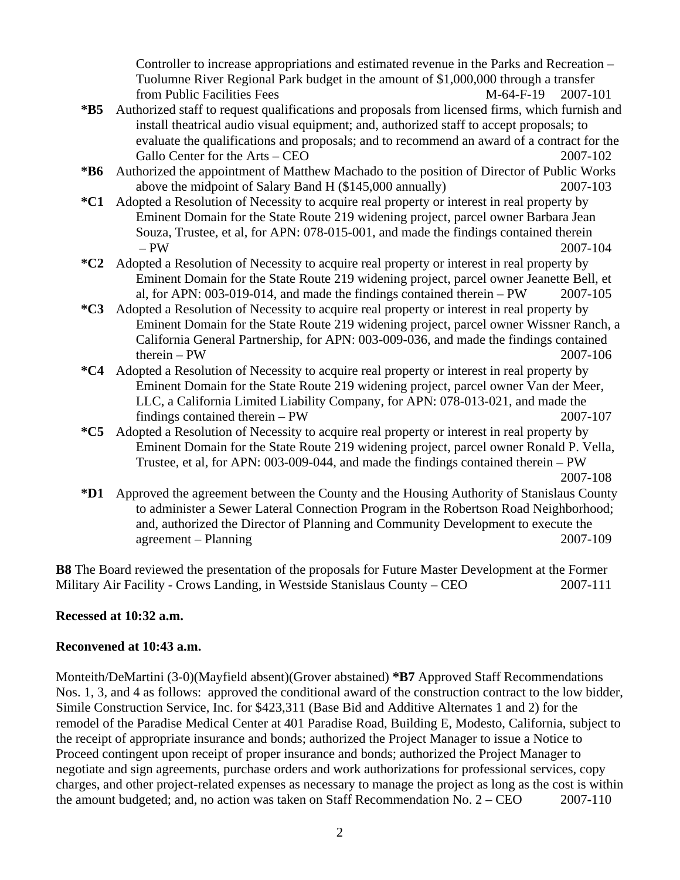Controller to increase appropriations and estimated revenue in the Parks and Recreation – Tuolumne River Regional Park budget in the amount of \$1,000,000 through a transfer from Public Facilities Fees M-64-F-19 2007-101

- **\*B5** Authorized staff to request qualifications and proposals from licensed firms, which furnish and install theatrical audio visual equipment; and, authorized staff to accept proposals; to evaluate the qualifications and proposals; and to recommend an award of a contract for the Gallo Center for the Arts – CEO 2007-102
- **\*B6** Authorized the appointment of Matthew Machado to the position of Director of Public Works above the midpoint of Salary Band H (\$145,000 annually) 2007-103
- **\*C1** Adopted a Resolution of Necessity to acquire real property or interest in real property by Eminent Domain for the State Route 219 widening project, parcel owner Barbara Jean Souza, Trustee, et al, for APN: 078-015-001, and made the findings contained therein – PW 2007-104
- **\*C2** Adopted a Resolution of Necessity to acquire real property or interest in real property by Eminent Domain for the State Route 219 widening project, parcel owner Jeanette Bell, et al, for APN: 003-019-014, and made the findings contained therein – PW 2007-105
- **\*C3** Adopted a Resolution of Necessity to acquire real property or interest in real property by Eminent Domain for the State Route 219 widening project, parcel owner Wissner Ranch, a California General Partnership, for APN: 003-009-036, and made the findings contained  $therein - PW$  2007-106
- **\*C4** Adopted a Resolution of Necessity to acquire real property or interest in real property by Eminent Domain for the State Route 219 widening project, parcel owner Van der Meer, LLC, a California Limited Liability Company, for APN: 078-013-021, and made the findings contained therein – PW 2007-107
- **\*C5** Adopted a Resolution of Necessity to acquire real property or interest in real property by Eminent Domain for the State Route 219 widening project, parcel owner Ronald P. Vella, Trustee, et al, for APN: 003-009-044, and made the findings contained therein – PW 2007-108

**\*D1** Approved the agreement between the County and the Housing Authority of Stanislaus County to administer a Sewer Lateral Connection Program in the Robertson Road Neighborhood; and, authorized the Director of Planning and Community Development to execute the agreement – Planning 2007-109

**B8** The Board reviewed the presentation of the proposals for Future Master Development at the Former Military Air Facility - Crows Landing, in Westside Stanislaus County – CEO 2007-111

## **Recessed at 10:32 a.m.**

## **Reconvened at 10:43 a.m.**

Monteith/DeMartini (3-0)(Mayfield absent)(Grover abstained) **\*B7** Approved Staff Recommendations Nos. 1, 3, and 4 as follows: approved the conditional award of the construction contract to the low bidder, Simile Construction Service, Inc. for \$423,311 (Base Bid and Additive Alternates 1 and 2) for the remodel of the Paradise Medical Center at 401 Paradise Road, Building E, Modesto, California, subject to the receipt of appropriate insurance and bonds; authorized the Project Manager to issue a Notice to Proceed contingent upon receipt of proper insurance and bonds; authorized the Project Manager to negotiate and sign agreements, purchase orders and work authorizations for professional services, copy charges, and other project-related expenses as necessary to manage the project as long as the cost is within the amount budgeted; and, no action was taken on Staff Recommendation No. 2 – CEO 2007-110